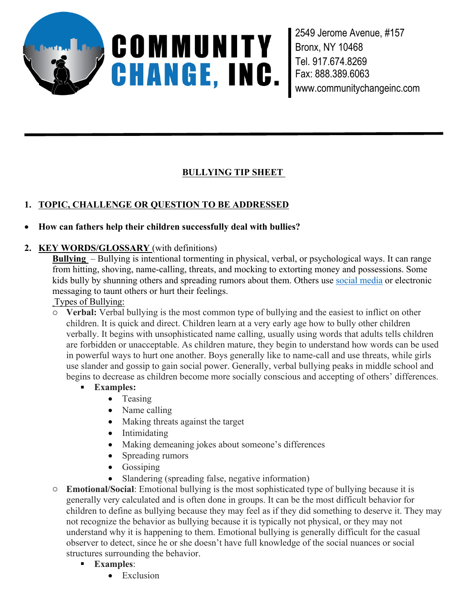

2549 Jerome Avenue, #157 Bronx, NY 10468 Tel. 917.674.8269 Fax: 888.389.6063 www.communitychangeinc.com

# **BULLYING TIP SHEET**

# **1. TOPIC, CHALLENGE OR QUESTION TO BE ADDRESSED**

## **How can fathers help their children successfully deal with bullies?**

## **2. KEY WORDS/GLOSSARY** (with definitions)

**Bullying** – Bullying is intentional tormenting in physical, verbal, or psychological ways. It can range from hitting, shoving, name-calling, threats, and mocking to extorting money and possessions. Some kids bully by shunning others and spreading rumors about them. Others use social media or electronic messaging to taunt others or hurt their feelings.

Types of Bullying:

o **Verbal:** Verbal bullying is the most common type of bullying and the easiest to inflict on other children. It is quick and direct. Children learn at a very early age how to bully other children verbally. It begins with unsophisticated name calling, usually using words that adults tells children are forbidden or unacceptable. As children mature, they begin to understand how words can be used in powerful ways to hurt one another. Boys generally like to name-call and use threats, while girls use slander and gossip to gain social power. Generally, verbal bullying peaks in middle school and begins to decrease as children become more socially conscious and accepting of others' differences.

- **Examples:** 
	- Teasing
	- Name calling
	- Making threats against the target
	- Intimidating
	- Making demeaning jokes about someone's differences
	- Spreading rumors
	- Gossiping
	- Slandering (spreading false, negative information)
- o **Emotional/Social**: Emotional bullying is the most sophisticated type of bullying because it is generally very calculated and is often done in groups. It can be the most difficult behavior for children to define as bullying because they may feel as if they did something to deserve it. They may not recognize the behavior as bullying because it is typically not physical, or they may not understand why it is happening to them. Emotional bullying is generally difficult for the casual observer to detect, since he or she doesn't have full knowledge of the social nuances or social structures surrounding the behavior.
	- **Examples**:
		- Exclusion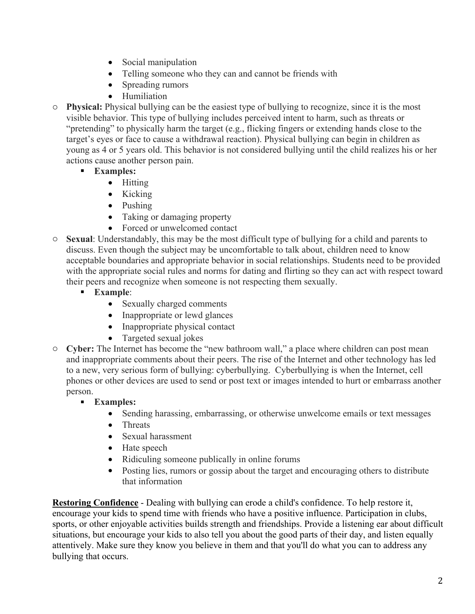- Social manipulation
- Telling someone who they can and cannot be friends with
- Spreading rumors
- Humiliation
- o **Physical:** Physical bullying can be the easiest type of bullying to recognize, since it is the most visible behavior. This type of bullying includes perceived intent to harm, such as threats or "pretending" to physically harm the target (e.g., flicking fingers or extending hands close to the target's eyes or face to cause a withdrawal reaction). Physical bullying can begin in children as young as 4 or 5 years old. This behavior is not considered bullying until the child realizes his or her actions cause another person pain.
	- **Examples:**
		- Hitting
		- $\bullet$  Kicking
		- Pushing
		- Taking or damaging property
		- Forced or unwelcomed contact
- o **Sexual**: Understandably, this may be the most difficult type of bullying for a child and parents to discuss. Even though the subject may be uncomfortable to talk about, children need to know acceptable boundaries and appropriate behavior in social relationships. Students need to be provided with the appropriate social rules and norms for dating and flirting so they can act with respect toward their peers and recognize when someone is not respecting them sexually.
	- **Example**:
		- Sexually charged comments
		- Inappropriate or lewd glances
		- Inappropriate physical contact
		- Targeted sexual jokes
- o **Cyber:** The Internet has become the "new bathroom wall," a place where children can post mean and inappropriate comments about their peers. The rise of the Internet and other technology has led to a new, very serious form of bullying: cyberbullying. Cyberbullying is when the Internet, cell phones or other devices are used to send or post text or images intended to hurt or embarrass another person.
	- **Examples:**
		- Sending harassing, embarrassing, or otherwise unwelcome emails or text messages
		- Threats
		- Sexual harassment
		- Hate speech
		- Ridiculing someone publically in online forums
		- Posting lies, rumors or gossip about the target and encouraging others to distribute that information

**Restoring Confidence** - Dealing with bullying can erode a child's confidence. To help restore it, encourage your kids to spend time with friends who have a positive influence. Participation in clubs, sports, or other enjoyable activities builds strength and friendships. Provide a listening ear about difficult situations, but encourage your kids to also tell you about the good parts of their day, and listen equally attentively. Make sure they know you believe in them and that you'll do what you can to address any bullying that occurs.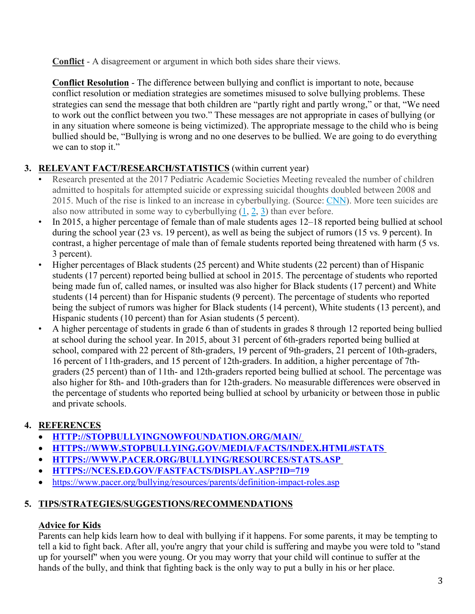**Conflict** - A disagreement or argument in which both sides share their views.

**Conflict Resolution** - The difference between bullying and conflict is important to note, because conflict resolution or mediation strategies are sometimes misused to solve bullying problems. These strategies can send the message that both children are "partly right and partly wrong," or that, "We need to work out the conflict between you two." These messages are not appropriate in cases of bullying (or in any situation where someone is being victimized). The appropriate message to the child who is being bullied should be, "Bullying is wrong and no one deserves to be bullied. We are going to do everything we can to stop it."

# **3. RELEVANT FACT/RESEARCH/STATISTICS** (within current year)

- Research presented at the 2017 Pediatric Academic Societies Meeting revealed the number of children admitted to hospitals for attempted suicide or expressing suicidal thoughts doubled between 2008 and 2015. Much of the rise is linked to an increase in cyberbullying. (Source: CNN). More teen suicides are also now attributed in some way to cyberbullying  $(1, 2, 3)$  than ever before.
- In 2015, a higher percentage of female than of male students ages 12–18 reported being bullied at school during the school year (23 vs. 19 percent), as well as being the subject of rumors (15 vs. 9 percent). In contrast, a higher percentage of male than of female students reported being threatened with harm (5 vs. 3 percent).
- Higher percentages of Black students (25 percent) and White students (22 percent) than of Hispanic students (17 percent) reported being bullied at school in 2015. The percentage of students who reported being made fun of, called names, or insulted was also higher for Black students (17 percent) and White students (14 percent) than for Hispanic students (9 percent). The percentage of students who reported being the subject of rumors was higher for Black students (14 percent), White students (13 percent), and
- Hispanic students (10 percent) than for Asian students (5 percent). A higher percentage of students in grade 6 than of students in grades 8 through 12 reported being bullied at school during the school year. In 2015, about 31 percent of 6th-graders reported being bullied at school, compared with 22 percent of 8th-graders, 19 percent of 9th-graders, 21 percent of 10th-graders, 16 percent of 11th-graders, and 15 percent of 12th-graders. In addition, a higher percentage of 7thgraders (25 percent) than of 11th- and 12th-graders reported being bullied at school. The percentage was also higher for 8th- and 10th-graders than for 12th-graders. No measurable differences were observed in the percentage of students who reported being bullied at school by urbanicity or between those in public and private schools.

#### **4. REFERENCES**

- **HTTP://STOPBULLYINGNOWFOUNDATION.ORG/MAIN/**
- **HTTPS://WWW.STOPBULLYING.GOV/MEDIA/FACTS/INDEX.HTML#STATS**
- **HTTPS://WWW.PACER.ORG/BULLYING/RESOURCES/STATS.ASP**
- **HTTPS://NCES.ED.GOV/FASTFACTS/DISPLAY.ASP?ID=719**
- https://www.pacer.org/bullying/resources/parents/definition-impact-roles.asp

#### **5. TIPS/STRATEGIES/SUGGESTIONS/RECOMMENDATIONS**

#### **Advice for Kids**

Parents can help kids learn how to deal with bullying if it happens. For some parents, it may be tempting to tell a kid to fight back. After all, you're angry that your child is suffering and maybe you were told to "stand up for yourself" when you were young. Or you may worry that your child will continue to suffer at the hands of the bully, and think that fighting back is the only way to put a bully in his or her place.